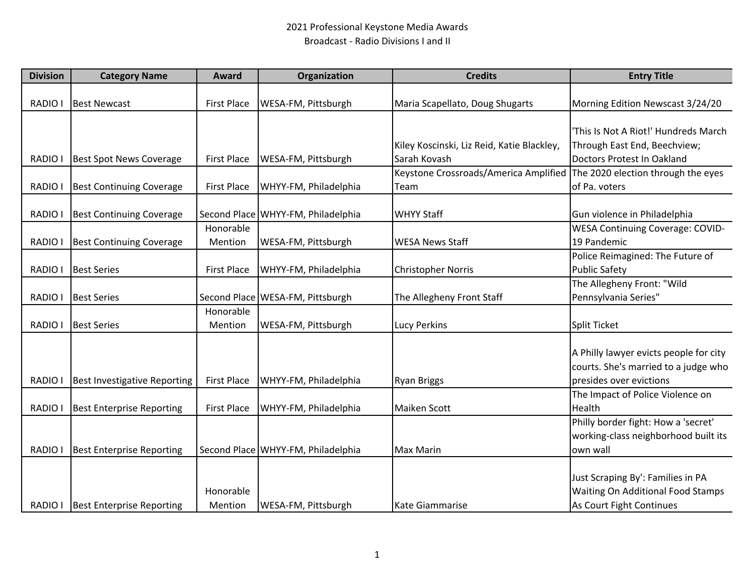## 2021 Professional Keystone Media Awards Broadcast ‐ Radio Divisions I and II

| <b>Division</b> | <b>Category Name</b>                | <b>Award</b>       | Organization                       | <b>Credits</b>                             | <b>Entry Title</b>                       |
|-----------------|-------------------------------------|--------------------|------------------------------------|--------------------------------------------|------------------------------------------|
| RADIO I         | <b>Best Newcast</b>                 | <b>First Place</b> | WESA-FM, Pittsburgh                | Maria Scapellato, Doug Shugarts            | Morning Edition Newscast 3/24/20         |
|                 |                                     |                    |                                    |                                            |                                          |
|                 |                                     |                    |                                    |                                            | 'This Is Not A Riot!' Hundreds March     |
|                 |                                     |                    |                                    | Kiley Koscinski, Liz Reid, Katie Blackley, | Through East End, Beechview;             |
| <b>RADIO I</b>  | <b>Best Spot News Coverage</b>      | <b>First Place</b> | WESA-FM, Pittsburgh                | Sarah Kovash                               | Doctors Protest In Oakland               |
|                 |                                     |                    |                                    | Keystone Crossroads/America Amplified      | The 2020 election through the eyes       |
| RADIO I         | <b>Best Continuing Coverage</b>     | <b>First Place</b> | WHYY-FM, Philadelphia              | Team                                       | of Pa. voters                            |
|                 |                                     |                    |                                    |                                            |                                          |
| RADIO I         | <b>Best Continuing Coverage</b>     |                    | Second Place WHYY-FM, Philadelphia | <b>WHYY Staff</b>                          | Gun violence in Philadelphia             |
|                 |                                     | Honorable          |                                    |                                            | WESA Continuing Coverage: COVID-         |
| RADIO I         | <b>Best Continuing Coverage</b>     | Mention            | WESA-FM, Pittsburgh                | <b>WESA News Staff</b>                     | 19 Pandemic                              |
|                 |                                     |                    |                                    |                                            | Police Reimagined: The Future of         |
| RADIO I         | <b>Best Series</b>                  | <b>First Place</b> | WHYY-FM, Philadelphia              | <b>Christopher Norris</b>                  | <b>Public Safety</b>                     |
|                 |                                     |                    |                                    |                                            | The Allegheny Front: "Wild               |
| RADIO I         | <b>Best Series</b>                  |                    | Second Place   WESA-FM, Pittsburgh | The Allegheny Front Staff                  | Pennsylvania Series"                     |
|                 |                                     | Honorable          |                                    |                                            |                                          |
| <b>RADIO I</b>  | <b>Best Series</b>                  | Mention            | WESA-FM, Pittsburgh                | Lucy Perkins                               | Split Ticket                             |
|                 |                                     |                    |                                    |                                            |                                          |
|                 |                                     |                    |                                    |                                            | A Philly lawyer evicts people for city   |
|                 |                                     |                    |                                    |                                            | courts. She's married to a judge who     |
| <b>RADIO</b>    | <b>Best Investigative Reporting</b> | <b>First Place</b> | WHYY-FM, Philadelphia              | <b>Ryan Briggs</b>                         | presides over evictions                  |
|                 |                                     |                    |                                    |                                            | The Impact of Police Violence on         |
| RADIO I         | <b>Best Enterprise Reporting</b>    | <b>First Place</b> | WHYY-FM, Philadelphia              | <b>Maiken Scott</b>                        | Health                                   |
|                 |                                     |                    |                                    |                                            | Philly border fight: How a 'secret'      |
|                 |                                     |                    |                                    |                                            | working-class neighborhood built its     |
| <b>RADIO I</b>  | <b>Best Enterprise Reporting</b>    |                    | Second Place WHYY-FM, Philadelphia | <b>Max Marin</b>                           | own wall                                 |
|                 |                                     |                    |                                    |                                            |                                          |
|                 |                                     |                    |                                    |                                            | Just Scraping By': Families in PA        |
|                 |                                     | Honorable          |                                    |                                            | <b>Waiting On Additional Food Stamps</b> |
| RADIO I         | <b>Best Enterprise Reporting</b>    | Mention            | WESA-FM, Pittsburgh                | Kate Giammarise                            | As Court Fight Continues                 |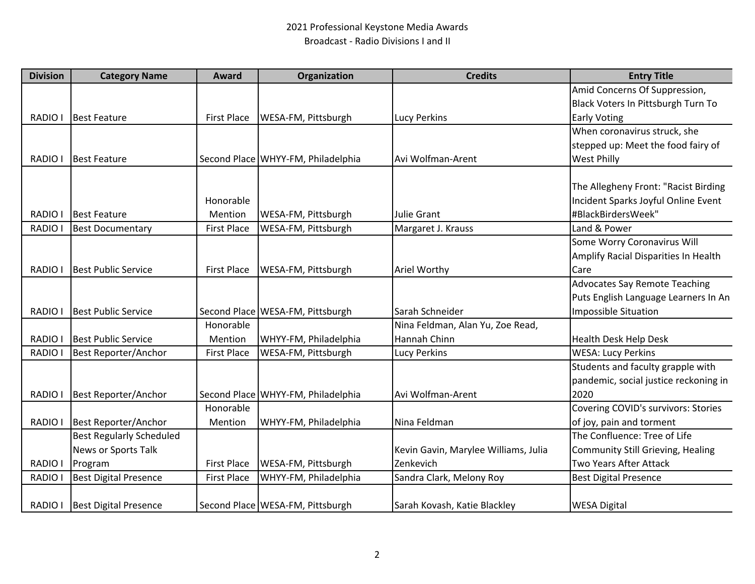## 2021 Professional Keystone Media Awards Broadcast ‐ Radio Divisions I and II

| <b>Division</b> | <b>Category Name</b>            | Award              | Organization                       | <b>Credits</b>                       | <b>Entry Title</b>                       |
|-----------------|---------------------------------|--------------------|------------------------------------|--------------------------------------|------------------------------------------|
|                 |                                 |                    |                                    |                                      | Amid Concerns Of Suppression,            |
|                 |                                 |                    |                                    |                                      | Black Voters In Pittsburgh Turn To       |
| <b>RADIO I</b>  | <b>Best Feature</b>             | <b>First Place</b> | WESA-FM, Pittsburgh                | <b>Lucy Perkins</b>                  | <b>Early Voting</b>                      |
|                 |                                 |                    |                                    |                                      | When coronavirus struck, she             |
|                 |                                 |                    |                                    |                                      | stepped up: Meet the food fairy of       |
| RADIO I         | <b>Best Feature</b>             |                    | Second Place WHYY-FM, Philadelphia | Avi Wolfman-Arent                    | West Philly                              |
|                 |                                 |                    |                                    |                                      |                                          |
|                 |                                 |                    |                                    |                                      | The Allegheny Front: "Racist Birding     |
|                 |                                 | Honorable          |                                    |                                      | Incident Sparks Joyful Online Event      |
| RADIO I         | <b>Best Feature</b>             | Mention            | WESA-FM, Pittsburgh                | Julie Grant                          | #BlackBirdersWeek"                       |
| RADIO I         | <b>Best Documentary</b>         | <b>First Place</b> | WESA-FM, Pittsburgh                | Margaret J. Krauss                   | Land & Power                             |
|                 |                                 |                    |                                    |                                      | Some Worry Coronavirus Will              |
|                 |                                 |                    |                                    |                                      | Amplify Racial Disparities In Health     |
| RADIO I         | <b>Best Public Service</b>      | <b>First Place</b> | WESA-FM, Pittsburgh                | Ariel Worthy                         | Care                                     |
|                 |                                 |                    |                                    |                                      | <b>Advocates Say Remote Teaching</b>     |
|                 |                                 |                    |                                    |                                      | Puts English Language Learners In An     |
| RADIO I         | <b>Best Public Service</b>      |                    | Second Place   WESA-FM, Pittsburgh | Sarah Schneider                      | <b>Impossible Situation</b>              |
|                 |                                 | Honorable          |                                    | Nina Feldman, Alan Yu, Zoe Read,     |                                          |
| RADIO I         | <b>Best Public Service</b>      | Mention            | WHYY-FM, Philadelphia              | Hannah Chinn                         | Health Desk Help Desk                    |
| <b>RADIO I</b>  | <b>Best Reporter/Anchor</b>     | <b>First Place</b> | WESA-FM, Pittsburgh                | <b>Lucy Perkins</b>                  | <b>WESA: Lucy Perkins</b>                |
|                 |                                 |                    |                                    |                                      | Students and faculty grapple with        |
|                 |                                 |                    |                                    |                                      | pandemic, social justice reckoning in    |
| RADIO I         | Best Reporter/Anchor            |                    | Second Place WHYY-FM, Philadelphia | Avi Wolfman-Arent                    | 2020                                     |
|                 |                                 | Honorable          |                                    |                                      | Covering COVID's survivors: Stories      |
| RADIO I         | Best Reporter/Anchor            | Mention            | WHYY-FM, Philadelphia              | Nina Feldman                         | of joy, pain and torment                 |
|                 | <b>Best Regularly Scheduled</b> |                    |                                    |                                      | The Confluence: Tree of Life             |
|                 | News or Sports Talk             |                    |                                    | Kevin Gavin, Marylee Williams, Julia | <b>Community Still Grieving, Healing</b> |
| RADIO I         | Program                         | <b>First Place</b> | WESA-FM, Pittsburgh                | Zenkevich                            | Two Years After Attack                   |
| <b>RADIO I</b>  | <b>Best Digital Presence</b>    | <b>First Place</b> | WHYY-FM, Philadelphia              | Sandra Clark, Melony Roy             | <b>Best Digital Presence</b>             |
|                 |                                 |                    |                                    |                                      |                                          |
|                 | RADIO   Best Digital Presence   |                    | Second Place WESA-FM, Pittsburgh   | Sarah Kovash, Katie Blackley         | <b>WESA Digital</b>                      |